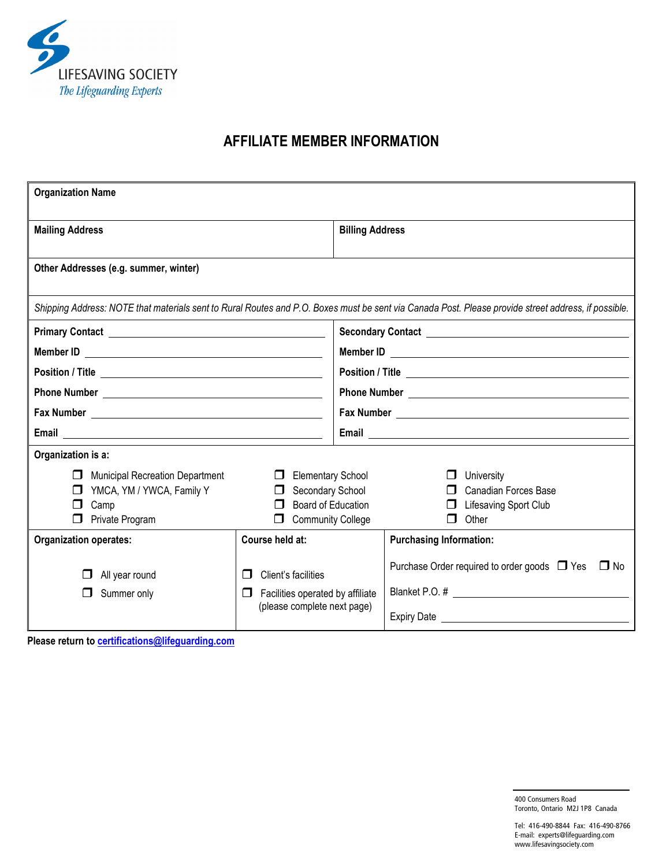

## **AFFILIATE MEMBER INFORMATION**

| <b>Organization Name</b>                                                                                                                            |                                                                                                          |                        |                                                                                     |  |  |
|-----------------------------------------------------------------------------------------------------------------------------------------------------|----------------------------------------------------------------------------------------------------------|------------------------|-------------------------------------------------------------------------------------|--|--|
| <b>Mailing Address</b>                                                                                                                              |                                                                                                          | <b>Billing Address</b> |                                                                                     |  |  |
| Other Addresses (e.g. summer, winter)                                                                                                               |                                                                                                          |                        |                                                                                     |  |  |
| Shipping Address: NOTE that materials sent to Rural Routes and P.O. Boxes must be sent via Canada Post. Please provide street address, if possible. |                                                                                                          |                        |                                                                                     |  |  |
|                                                                                                                                                     |                                                                                                          |                        |                                                                                     |  |  |
|                                                                                                                                                     |                                                                                                          |                        |                                                                                     |  |  |
|                                                                                                                                                     |                                                                                                          |                        |                                                                                     |  |  |
|                                                                                                                                                     |                                                                                                          |                        |                                                                                     |  |  |
|                                                                                                                                                     |                                                                                                          |                        |                                                                                     |  |  |
|                                                                                                                                                     |                                                                                                          |                        |                                                                                     |  |  |
| Organization is a:                                                                                                                                  |                                                                                                          |                        |                                                                                     |  |  |
| <b>Municipal Recreation Department</b><br>$\Box$<br>YMCA, YM / YWCA, Family Y<br>Camp<br>Private Program                                            | <b>Elementary School</b><br>$\Box$<br>Secondary School<br>Board of Education<br><b>Community College</b> |                        | University<br><b>Canadian Forces Base</b><br>Lifesaving Sport Club<br>Other<br>⊓    |  |  |
| <b>Organization operates:</b>                                                                                                                       | Course held at:                                                                                          |                        | <b>Purchasing Information:</b>                                                      |  |  |
| All year round<br>Summer only                                                                                                                       | Client's facilities<br>Facilities operated by affiliate<br>$\mathsf{L}$                                  |                        | Purchase Order required to order goods □ Yes<br>$\square$ No<br>Blanket P.O. # 2008 |  |  |
| (please complete next page)                                                                                                                         |                                                                                                          |                        |                                                                                     |  |  |

**Please return to [certifications@lifeguarding.com](mailto:certifications@lifeguarding.com)**

400 Consumers Road Toronto, Ontario M2J 1P8 Canada